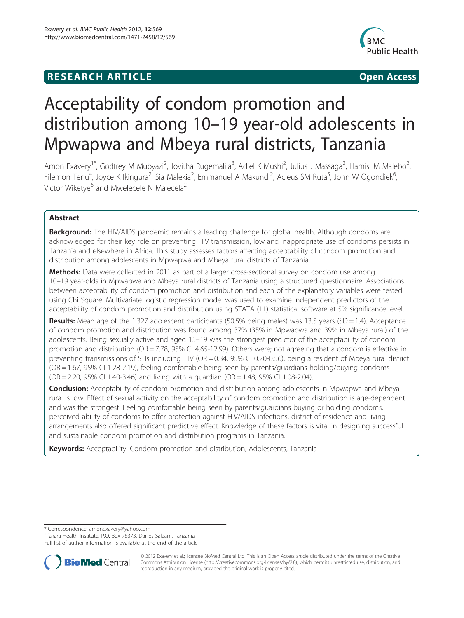# **RESEARCH ARTICLE Example 2014 12:30 The Community Community Community Community Community Community Community**



# Acceptability of condom promotion and distribution among 10–19 year-old adolescents in Mpwapwa and Mbeya rural districts, Tanzania

Amon Exavery<sup>1\*</sup>, Godfrey M Mubyazi<sup>2</sup>, Jovitha Rugemalila<sup>3</sup>, Adiel K Mushi<sup>2</sup>, Julius J Massaga<sup>2</sup>, Hamisi M Malebo<sup>2</sup> .<br>, Filemon Tenu<sup>4</sup>, Joyce K Ikingura<sup>2</sup>, Sia Malekia<sup>2</sup>, Emmanuel A Makundi<sup>2</sup>, Acleus SM Ruta<sup>5</sup>, John W Ogondiek<sup>6</sup> , Victor Wiketye<sup>6</sup> and Mwelecele N Malecela<sup>2</sup>

# Abstract

Background: The HIV/AIDS pandemic remains a leading challenge for global health. Although condoms are acknowledged for their key role on preventing HIV transmission, low and inappropriate use of condoms persists in Tanzania and elsewhere in Africa. This study assesses factors affecting acceptability of condom promotion and distribution among adolescents in Mpwapwa and Mbeya rural districts of Tanzania.

Methods: Data were collected in 2011 as part of a larger cross-sectional survey on condom use among 10–19 year-olds in Mpwapwa and Mbeya rural districts of Tanzania using a structured questionnaire. Associations between acceptability of condom promotion and distribution and each of the explanatory variables were tested using Chi Square. Multivariate logistic regression model was used to examine independent predictors of the acceptability of condom promotion and distribution using STATA (11) statistical software at 5% significance level.

**Results:** Mean age of the 1,327 adolescent participants (50.5% being males) was 13.5 years (SD = 1.4). Acceptance of condom promotion and distribution was found among 37% (35% in Mpwapwa and 39% in Mbeya rural) of the adolescents. Being sexually active and aged 15–19 was the strongest predictor of the acceptability of condom promotion and distribution (OR = 7.78, 95% CI 4.65-12.99). Others were; not agreeing that a condom is effective in preventing transmissions of STIs including HIV (OR = 0.34, 95% CI 0.20-0.56), being a resident of Mbeya rural district (OR = 1.67, 95% CI 1.28-2.19), feeling comfortable being seen by parents/guardians holding/buying condoms  $(OR = 2.20, 95\% \text{ CI } 1.40 - 3.46)$  and living with a guardian  $(OR = 1.48, 95\% \text{ CI } 1.08 - 2.04)$ .

**Conclusion:** Acceptability of condom promotion and distribution among adolescents in Mpwapwa and Mbeya rural is low. Effect of sexual activity on the acceptability of condom promotion and distribution is age-dependent and was the strongest. Feeling comfortable being seen by parents/guardians buying or holding condoms, perceived ability of condoms to offer protection against HIV/AIDS infections, district of residence and living arrangements also offered significant predictive effect. Knowledge of these factors is vital in designing successful and sustainable condom promotion and distribution programs in Tanzania.

Keywords: Acceptability, Condom promotion and distribution, Adolescents, Tanzania

\* Correspondence: [amonexavery@yahoo.com](mailto:amonexavery@yahoo.com) <sup>1</sup>

<sup>1</sup> Ifakara Health Institute, P.O. Box 78373, Dar es Salaam, Tanzania

Full list of author information is available at the end of the article



© 2012 Exavery et al.; licensee BioMed Central Ltd. This is an Open Access article distributed under the terms of the Creative Commons Attribution License [\(http://creativecommons.org/licenses/by/2.0\)](http://creativecommons.org/licenses/by/2.0), which permits unrestricted use, distribution, and reproduction in any medium, provided the original work is properly cited.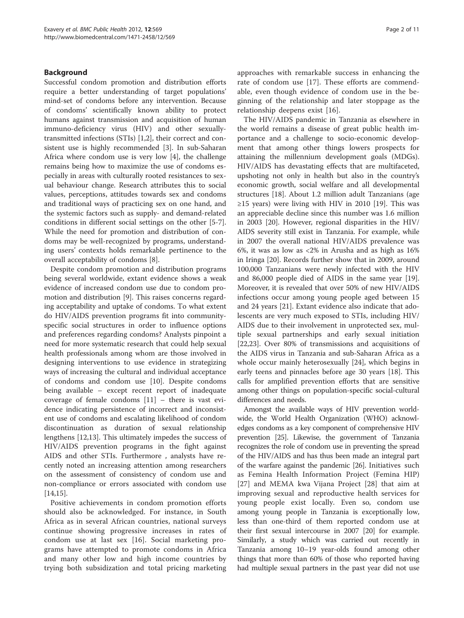# Background

Successful condom promotion and distribution efforts require a better understanding of target populations' mind-set of condoms before any intervention. Because of condoms' scientifically known ability to protect humans against transmission and acquisition of human immuno-deficiency virus (HIV) and other sexuallytransmitted infections (STIs) [\[1,2](#page-9-0)], their correct and consistent use is highly recommended [\[3](#page-9-0)]. In sub-Saharan Africa where condom use is very low [\[4](#page-9-0)], the challenge remains being how to maximize the use of condoms especially in areas with culturally rooted resistances to sexual behaviour change. Research attributes this to social values, perceptions, attitudes towards sex and condoms and traditional ways of practicing sex on one hand, and the systemic factors such as supply- and demand-related conditions in different social settings on the other [[5-7](#page-9-0)]. While the need for promotion and distribution of condoms may be well-recognized by programs, understanding users' contexts holds remarkable pertinence to the overall acceptability of condoms [[8\]](#page-9-0).

Despite condom promotion and distribution programs being several worldwide, extant evidence shows a weak evidence of increased condom use due to condom promotion and distribution [\[9](#page-9-0)]. This raises concerns regarding acceptability and uptake of condoms. To what extent do HIV/AIDS prevention programs fit into communityspecific social structures in order to influence options and preferences regarding condoms? Analysts pinpoint a need for more systematic research that could help sexual health professionals among whom are those involved in designing interventions to use evidence in strategizing ways of increasing the cultural and individual acceptance of condoms and condom use [[10\]](#page-9-0). Despite condoms being available – except recent report of inadequate coverage of female condoms  $[11]$  $[11]$  – there is vast evidence indicating persistence of incorrect and inconsistent use of condoms and escalating likelihood of condom discontinuation as duration of sexual relationship lengthens [\[12,13\]](#page-9-0). This ultimately impedes the success of HIV/AIDS prevention programs in the fight against AIDS and other STIs. Furthermore , analysts have recently noted an increasing attention among researchers on the assessment of consistency of condom use and non-compliance or errors associated with condom use [[14,15\]](#page-9-0).

Positive achievements in condom promotion efforts should also be acknowledged. For instance, in South Africa as in several African countries, national surveys continue showing progressive increases in rates of condom use at last sex [[16\]](#page-9-0). Social marketing programs have attempted to promote condoms in Africa and many other low and high income countries by trying both subsidization and total pricing marketing

approaches with remarkable success in enhancing the rate of condom use [[17\]](#page-9-0). These efforts are commendable, even though evidence of condom use in the beginning of the relationship and later stoppage as the relationship deepens exist [[16\]](#page-9-0).

The HIV/AIDS pandemic in Tanzania as elsewhere in the world remains a disease of great public health importance and a challenge to socio-economic development that among other things lowers prospects for attaining the millennium development goals (MDGs). HIV/AIDS has devastating effects that are multifaceted, upshoting not only in health but also in the country's economic growth, social welfare and all developmental structures [\[18\]](#page-9-0). About 1.2 million adult Tanzanians (age  $\geq$ 15 years) were living with HIV in 2010 [[19](#page-9-0)]. This was an appreciable decline since this number was 1.6 million in 2003 [[20\]](#page-9-0). However, regional disparities in the HIV/ AIDS severity still exist in Tanzania. For example, while in 2007 the overall national HIV/AIDS prevalence was 6%, it was as low as <2% in Arusha and as high as 16% in Iringa [[20\]](#page-9-0). Records further show that in 2009, around 100,000 Tanzanians were newly infected with the HIV and 86,000 people died of AIDS in the same year [\[19](#page-9-0)]. Moreover, it is revealed that over 50% of new HIV/AIDS infections occur among young people aged between 15 and 24 years [\[21\]](#page-9-0). Extant evidence also indicate that adolescents are very much exposed to STIs, including HIV/ AIDS due to their involvement in unprotected sex, multiple sexual partnerships and early sexual initiation [[22,23\]](#page-9-0). Over 80% of transmissions and acquisitions of the AIDS virus in Tanzania and sub-Saharan Africa as a whole occur mainly heterosexually [[24](#page-9-0)], which begins in early teens and pinnacles before age 30 years [[18](#page-9-0)]. This calls for amplified prevention efforts that are sensitive among other things on population-specific social-cultural differences and needs.

Amongst the available ways of HIV prevention worldwide, the World Health Organization (WHO) acknowledges condoms as a key component of comprehensive HIV prevention [\[25](#page-9-0)]. Likewise, the government of Tanzania recognizes the role of condom use in preventing the spread of the HIV/AIDS and has thus been made an integral part of the warfare against the pandemic [\[26](#page-9-0)]. Initiatives such as Femina Health Information Project (Femina HIP) [[27\]](#page-9-0) and MEMA kwa Vijana Project [[28](#page-9-0)] that aim at improving sexual and reproductive health services for young people exist locally. Even so, condom use among young people in Tanzania is exceptionally low, less than one-third of them reported condom use at their first sexual intercourse in 2007 [\[20\]](#page-9-0) for example. Similarly, a study which was carried out recently in Tanzania among 10–19 year-olds found among other things that more than 60% of those who reported having had multiple sexual partners in the past year did not use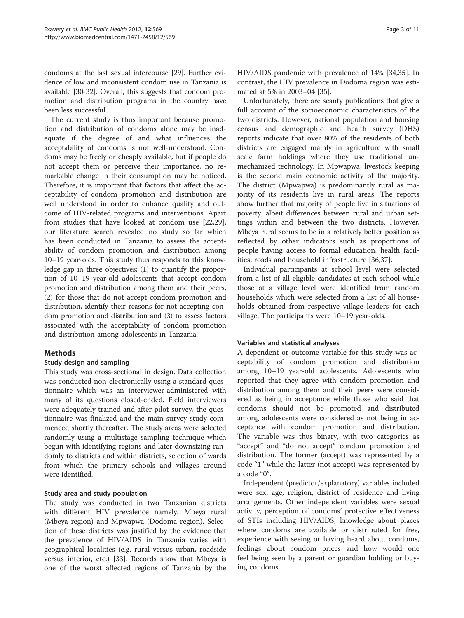condoms at the last sexual intercourse [\[29\]](#page-9-0). Further evidence of low and inconsistent condom use in Tanzania is available [\[30-32\]](#page-9-0). Overall, this suggests that condom promotion and distribution programs in the country have been less successful.

The current study is thus important because promotion and distribution of condoms alone may be inadequate if the degree of and what influences the acceptability of condoms is not well-understood. Condoms may be freely or cheaply available, but if people do not accept them or perceive their importance, no remarkable change in their consumption may be noticed. Therefore, it is important that factors that affect the acceptability of condom promotion and distribution are well understood in order to enhance quality and outcome of HIV-related programs and interventions. Apart from studies that have looked at condom use [\[22,29](#page-9-0)], our literature search revealed no study so far which has been conducted in Tanzania to assess the acceptability of condom promotion and distribution among 10–19 year-olds. This study thus responds to this knowledge gap in three objectives; (1) to quantify the proportion of 10–19 year-old adolescents that accept condom promotion and distribution among them and their peers, (2) for those that do not accept condom promotion and distribution, identify their reasons for not accepting condom promotion and distribution and (3) to assess factors associated with the acceptability of condom promotion and distribution among adolescents in Tanzania.

# **Methods**

# Study design and sampling

This study was cross-sectional in design. Data collection was conducted non-electronically using a standard questionnaire which was an interviewer-administered with many of its questions closed-ended. Field interviewers were adequately trained and after pilot survey, the questionnaire was finalized and the main survey study commenced shortly thereafter. The study areas were selected randomly using a multistage sampling technique which begun with identifying regions and later downsizing randomly to districts and within districts, selection of wards from which the primary schools and villages around were identified.

# Study area and study population

The study was conducted in two Tanzanian districts with different HIV prevalence namely, Mbeya rural (Mbeya region) and Mpwapwa (Dodoma region). Selection of these districts was justified by the evidence that the prevalence of HIV/AIDS in Tanzania varies with geographical localities (e.g. rural versus urban, roadside versus interior, etc.) [[33](#page-9-0)]. Records show that Mbeya is one of the worst affected regions of Tanzania by the

HIV/AIDS pandemic with prevalence of 14% [\[34,35\]](#page-9-0). In contrast, the HIV prevalence in Dodoma region was estimated at 5% in 2003–04 [[35](#page-9-0)].

Unfortunately, there are scanty publications that give a full account of the socioeconomic characteristics of the two districts. However, national population and housing census and demographic and health survey (DHS) reports indicate that over 80% of the residents of both districts are engaged mainly in agriculture with small scale farm holdings where they use traditional unmechanized technology. In Mpwapwa, livestock keeping is the second main economic activity of the majority. The district (Mpwapwa) is predominantly rural as majority of its residents live in rural areas. The reports show further that majority of people live in situations of poverty, albeit differences between rural and urban settings within and between the two districts. However, Mbeya rural seems to be in a relatively better position as reflected by other indicators such as proportions of people having access to formal education, health facilities, roads and household infrastructure [[36,37\]](#page-9-0).

Individual participants at school level were selected from a list of all eligible candidates at each school while those at a village level were identified from random households which were selected from a list of all households obtained from respective village leaders for each village. The participants were 10–19 year-olds.

# Variables and statistical analyses

A dependent or outcome variable for this study was acceptability of condom promotion and distribution among 10–19 year-old adolescents. Adolescents who reported that they agree with condom promotion and distribution among them and their peers were considered as being in acceptance while those who said that condoms should not be promoted and distributed among adolescents were considered as not being in acceptance with condom promotion and distribution. The variable was thus binary, with two categories as "accept" and "do not accept" condom promotion and distribution. The former (accept) was represented by a code "1" while the latter (not accept) was represented by a code "0".

Independent (predictor/explanatory) variables included were sex, age, religion, district of residence and living arrangements. Other independent variables were sexual activity, perception of condoms' protective effectiveness of STIs including HIV/AIDS, knowledge about places where condoms are available or distributed for free, experience with seeing or having heard about condoms, feelings about condom prices and how would one feel being seen by a parent or guardian holding or buying condoms.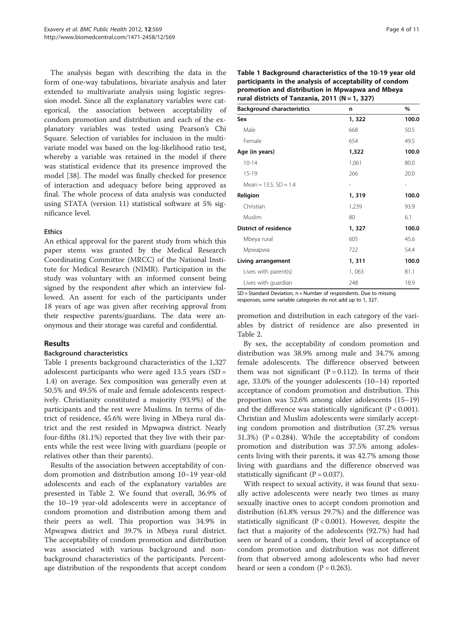The analysis began with describing the data in the form of one-way tabulations, bivariate analysis and later extended to multivariate analysis using logistic regression model. Since all the explanatory variables were categorical, the association between acceptability of condom promotion and distribution and each of the explanatory variables was tested using Pearson's Chi Square. Selection of variables for inclusion in the multivariate model was based on the log-likelihood ratio test, whereby a variable was retained in the model if there was statistical evidence that its presence improved the model [[38\]](#page-9-0). The model was finally checked for presence of interaction and adequacy before being approved as final. The whole process of data analysis was conducted using STATA (version 11) statistical software at 5% significance level.

#### Ethics

An ethical approval for the parent study from which this paper stems was granted by the Medical Research Coordinating Committee (MRCC) of the National Institute for Medical Research (NIMR). Participation in the study was voluntary with an informed consent being signed by the respondent after which an interview followed. An assent for each of the participants under 18 years of age was given after receiving approval from their respective parents/guardians. The data were anonymous and their storage was careful and confidential.

# Results

# Background characteristics

Table 1 presents background characteristics of the 1,327 adolescent participants who were aged  $13.5$  years (SD = 1.4) on average. Sex composition was generally even at 50.5% and 49.5% of male and female adolescents respectively. Christianity constituted a majority (93.9%) of the participants and the rest were Muslims. In terms of district of residence, 45.6% were living in Mbeya rural district and the rest resided in Mpwapwa district. Nearly four-fifths (81.1%) reported that they live with their parents while the rest were living with guardians (people or relatives other than their parents).

Results of the association between acceptability of condom promotion and distribution among 10–19 year-old adolescents and each of the explanatory variables are presented in Table [2](#page-4-0). We found that overall, 36.9% of the 10–19 year-old adolescents were in acceptance of condom promotion and distribution among them and their peers as well. This proportion was 34.9% in Mpwapwa district and 39.7% in Mbeya rural district. The acceptability of condom promotion and distribution was associated with various background and nonbackground characteristics of the participants. Percentage distribution of the respondents that accept condom

| promotion and distribution in Mpwapwa and Mbeya<br>rural districts of Tanzania, 2011 ( $N = 1$ , 327) |        |       |  |  |
|-------------------------------------------------------------------------------------------------------|--------|-------|--|--|
| <b>Background characteristics</b>                                                                     | n      | %     |  |  |
| Sex                                                                                                   | 1, 322 | 100.0 |  |  |
| Male                                                                                                  | 668    | 50.5  |  |  |
| Female                                                                                                | 654    | 49.5  |  |  |
| Age (in years)                                                                                        | 1,322  | 100.0 |  |  |
| $10 - 14$                                                                                             | 1,061  | 80.0  |  |  |
| $15-19$                                                                                               | 266    | 20.0  |  |  |
| Mean = $13.5$ , $SD = 1.4$                                                                            |        |       |  |  |
| Religion                                                                                              | 1, 319 | 100.0 |  |  |
| Christian                                                                                             | 1,239  | 93.9  |  |  |
| Muslim                                                                                                | 80     | 6.1   |  |  |
| <b>District of residence</b>                                                                          | 1, 327 | 100.0 |  |  |

Mbeya rural 605 45.6 Mpwapwa 722 54.4 Living arrangement 1, 311 100.0 Lives with parent(s)  $1,063$  81.1 Lives with guardian 248 18.9

SD = Standard Deviation, n = Number of respondents. Due to missing responses, some variable categories do not add up to 1, 327.

promotion and distribution in each category of the variables by district of residence are also presented in Table [2.](#page-4-0)

By sex, the acceptability of condom promotion and distribution was 38.9% among male and 34.7% among female adolescents. The difference observed between them was not significant  $(P = 0.112)$ . In terms of their age, 33.0% of the younger adolescents (10–14) reported acceptance of condom promotion and distribution. This proportion was 52.6% among older adolescents (15–19) and the difference was statistically significant  $(P < 0.001)$ . Christian and Muslim adolescents were similarly accepting condom promotion and distribution (37.2% versus 31.3%) ( $P = 0.284$ ). While the acceptability of condom promotion and distribution was 37.5% among adolescents living with their parents, it was 42.7% among those living with guardians and the difference observed was statistically significant  $(P = 0.037)$ .

With respect to sexual activity, it was found that sexually active adolescents were nearly two times as many sexually inactive ones to accept condom promotion and distribution (61.8% versus 29.7%) and the difference was statistically significant ( $P < 0.001$ ). However, despite the fact that a majority of the adolescents (92.7%) had had seen or heard of a condom, their level of acceptance of condom promotion and distribution was not different from that observed among adolescents who had never heard or seen a condom  $(P = 0.263)$ .

| Table 1 Background characteristics of the 10-19 year old |
|----------------------------------------------------------|
| participants in the analysis of acceptability of condom  |
| promotion and distribution in Mpwapwa and Mbeya          |
| rural districts of Tanzania, 2011 ( $N = 1$ , 327)       |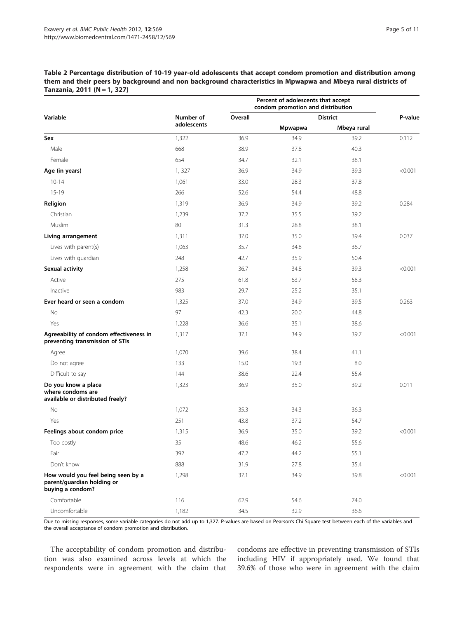<span id="page-4-0"></span>Table 2 Percentage distribution of 10-19 year-old adolescents that accept condom promotion and distribution among them and their peers by background and non background characteristics in Mpwapwa and Mbeya rural districts of Tanzania, 2011 (N = 1, 327)

|                                                                                      |             | Percent of adolescents that accept<br>condom promotion and distribution |         |                 |         |
|--------------------------------------------------------------------------------------|-------------|-------------------------------------------------------------------------|---------|-----------------|---------|
| Variable                                                                             | Number of   | Overall                                                                 |         | <b>District</b> | P-value |
|                                                                                      | adolescents |                                                                         | Mpwapwa | Mbeya rural     |         |
| Sex                                                                                  | 1,322       | 36.9                                                                    | 34.9    | 39.2            | 0.112   |
| Male                                                                                 | 668         | 38.9                                                                    | 37.8    | 40.3            |         |
| Female                                                                               | 654         | 34.7                                                                    | 32.1    | 38.1            |         |
| Age (in years)                                                                       | 1,327       | 36.9                                                                    | 34.9    | 39.3            | < 0.001 |
| $10 - 14$                                                                            | 1,061       | 33.0                                                                    | 28.3    | 37.8            |         |
| $15-19$                                                                              | 266         | 52.6                                                                    | 54.4    | 48.8            |         |
| Religion                                                                             | 1,319       | 36.9                                                                    | 34.9    | 39.2            | 0.284   |
| Christian                                                                            | 1,239       | 37.2                                                                    | 35.5    | 39.2            |         |
| Muslim                                                                               | 80          | 31.3                                                                    | 28.8    | 38.1            |         |
| Living arrangement                                                                   | 1,311       | 37.0                                                                    | 35.0    | 39.4            | 0.037   |
| Lives with parent(s)                                                                 | 1,063       | 35.7                                                                    | 34.8    | 36.7            |         |
| Lives with guardian                                                                  | 248         | 42.7                                                                    | 35.9    | 50.4            |         |
| Sexual activity                                                                      | 1,258       | 36.7                                                                    | 34.8    | 39.3            | < 0.001 |
| Active                                                                               | 275         | 61.8                                                                    | 63.7    | 58.3            |         |
| Inactive                                                                             | 983         | 29.7                                                                    | 25.2    | 35.1            |         |
| Ever heard or seen a condom                                                          | 1,325       | 37.0                                                                    | 34.9    | 39.5            | 0.263   |
| No                                                                                   | 97          | 42.3                                                                    | 20.0    | 44.8            |         |
| Yes                                                                                  | 1,228       | 36.6                                                                    | 35.1    | 38.6            |         |
| Agreeability of condom effectiveness in<br>preventing transmission of STIs           | 1,317       | 37.1                                                                    | 34.9    | 39.7            | < 0.001 |
| Agree                                                                                | 1,070       | 39.6                                                                    | 38.4    | 41.1            |         |
| Do not agree                                                                         | 133         | 15.0                                                                    | 19.3    | 8.0             |         |
| Difficult to say                                                                     | 144         | 38.6                                                                    | 22.4    | 55.4            |         |
| Do you know a place<br>where condoms are<br>available or distributed freely?         | 1,323       | 36.9                                                                    | 35.0    | 39.2            | 0.011   |
| No                                                                                   | 1,072       | 35.3                                                                    | 34.3    | 36.3            |         |
| Yes                                                                                  | 251         | 43.8                                                                    | 37.2    | 54.7            |         |
| Feelings about condom price                                                          | 1,315       | 36.9                                                                    | 35.0    | 39.2            | < 0.001 |
| Too costly                                                                           | 35          | 48.6                                                                    | 46.2    | 55.6            |         |
| Fair                                                                                 | 392         | 47.2                                                                    | 44.2    | 55.1            |         |
| Don't know                                                                           | 888         | 31.9                                                                    | 27.8    | 35.4            |         |
| How would you feel being seen by a<br>parent/guardian holding or<br>buying a condom? | 1,298       | 37.1                                                                    | 34.9    | 39.8            | < 0.001 |
| Comfortable                                                                          | 116         | 62.9                                                                    | 54.6    | 74.0            |         |
| Uncomfortable                                                                        | 1,182       | 34.5                                                                    | 32.9    | 36.6            |         |

Due to missing responses, some variable categories do not add up to 1,327. P-values are based on Pearson's Chi Square test between each of the variables and the overall acceptance of condom promotion and distribution.

The acceptability of condom promotion and distribution was also examined across levels at which the respondents were in agreement with the claim that condoms are effective in preventing transmission of STIs including HIV if appropriately used. We found that 39.6% of those who were in agreement with the claim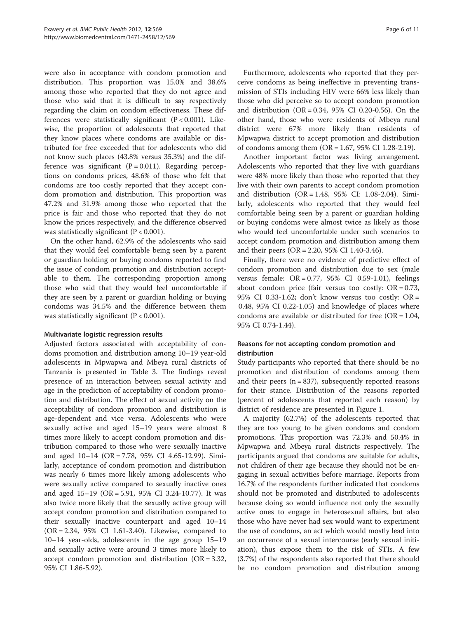were also in acceptance with condom promotion and distribution. This proportion was 15.0% and 38.6% among those who reported that they do not agree and those who said that it is difficult to say respectively regarding the claim on condom effectiveness. These differences were statistically significant  $(P < 0.001)$ . Likewise, the proportion of adolescents that reported that they know places where condoms are available or distributed for free exceeded that for adolescents who did not know such places (43.8% versus 35.3%) and the difference was significant  $(P = 0.011)$ . Regarding perceptions on condoms prices, 48.6% of those who felt that condoms are too costly reported that they accept condom promotion and distribution. This proportion was 47.2% and 31.9% among those who reported that the price is fair and those who reported that they do not know the prices respectively, and the difference observed was statistically significant  $(P < 0.001)$ .

On the other hand, 62.9% of the adolescents who said that they would feel comfortable being seen by a parent or guardian holding or buying condoms reported to find the issue of condom promotion and distribution acceptable to them. The corresponding proportion among those who said that they would feel uncomfortable if they are seen by a parent or guardian holding or buying condoms was 34.5% and the difference between them was statistically significant  $(P < 0.001)$ .

#### Multivariate logistic regression results

Adjusted factors associated with acceptability of condoms promotion and distribution among 10–19 year-old adolescents in Mpwapwa and Mbeya rural districts of Tanzania is presented in Table [3](#page-6-0). The findings reveal presence of an interaction between sexual activity and age in the prediction of acceptability of condom promotion and distribution. The effect of sexual activity on the acceptability of condom promotion and distribution is age-dependent and vice versa. Adolescents who were sexually active and aged 15–19 years were almost 8 times more likely to accept condom promotion and distribution compared to those who were sexually inactive and aged 10–14 (OR = 7.78, 95% CI 4.65-12.99). Similarly, acceptance of condom promotion and distribution was nearly 6 times more likely among adolescents who were sexually active compared to sexually inactive ones and aged 15–19 (OR = 5.91, 95% CI 3.24-10.77). It was also twice more likely that the sexually active group will accept condom promotion and distribution compared to their sexually inactive counterpart and aged 10–14 (OR = 2.34, 95% CI 1.61-3.40). Likewise, compared to 10–14 year-olds, adolescents in the age group 15–19 and sexually active were around 3 times more likely to accept condom promotion and distribution (OR = 3.32, 95% CI 1.86-5.92).

Furthermore, adolescents who reported that they perceive condoms as being ineffective in preventing transmission of STIs including HIV were 66% less likely than those who did perceive so to accept condom promotion and distribution (OR = 0.34, 95% CI 0.20-0.56). On the other hand, those who were residents of Mbeya rural district were 67% more likely than residents of Mpwapwa district to accept promotion and distribution of condoms among them  $(OR = 1.67, 95\% \text{ CI } 1.28-2.19)$ .

Another important factor was living arrangement. Adolescents who reported that they live with guardians were 48% more likely than those who reported that they live with their own parents to accept condom promotion and distribution (OR = 1.48, 95% CI: 1.08-2.04). Similarly, adolescents who reported that they would feel comfortable being seen by a parent or guardian holding or buying condoms were almost twice as likely as those who would feel uncomfortable under such scenarios to accept condom promotion and distribution among them and their peers (OR = 2.20, 95% CI 1.40-3.46).

Finally, there were no evidence of predictive effect of condom promotion and distribution due to sex (male versus female:  $OR = 0.77$ ,  $95\%$  CI 0.59-1.01), feelings about condom price (fair versus too costly:  $OR = 0.73$ , 95% CI 0.33-1.62; don't know versus too costly: OR = 0.48, 95% CI 0.22-1.05) and knowledge of places where condoms are available or distributed for free (OR = 1.04, 95% CI 0.74-1.44).

# Reasons for not accepting condom promotion and distribution

Study participants who reported that there should be no promotion and distribution of condoms among them and their peers  $(n = 837)$ , subsequently reported reasons for their stance. Distribution of the reasons reported (percent of adolescents that reported each reason) by district of residence are presented in Figure [1.](#page-7-0)

A majority (62.7%) of the adolescents reported that they are too young to be given condoms and condom promotions. This proportion was 72.3% and 50.4% in Mpwapwa and Mbeya rural districts respectively. The participants argued that condoms are suitable for adults, not children of their age because they should not be engaging in sexual activities before marriage. Reports from 16.7% of the respondents further indicated that condoms should not be promoted and distributed to adolescents because doing so would influence not only the sexually active ones to engage in heterosexual affairs, but also those who have never had sex would want to experiment the use of condoms, an act which would mostly lead into an occurrence of a sexual intercourse (early sexual initiation), thus expose them to the risk of STIs. A few (3.7%) of the respondents also reported that there should be no condom promotion and distribution among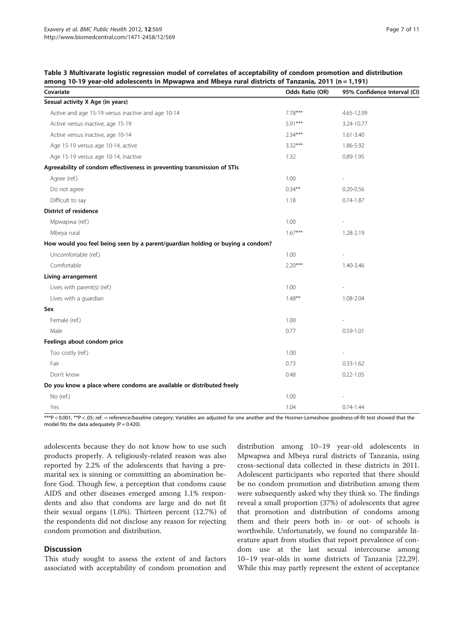<span id="page-6-0"></span>

| Table 3 Multivarate logistic regression model of correlates of acceptability of condom promotion and distribution |  |  |  |  |
|-------------------------------------------------------------------------------------------------------------------|--|--|--|--|
| among 10-19 year-old adolescents in Mpwapwa and Mbeya rural districts of Tanzania, 2011 ( $n = 1,191$ )           |  |  |  |  |

| Covariate                                                                      | Odds Ratio (OR) | 95% Confidence Interval (CI) |
|--------------------------------------------------------------------------------|-----------------|------------------------------|
| Sexual activity X Age (in years)                                               |                 |                              |
| Active and age 15-19 versus inactive and age 10-14                             | $7.78***$       | 4.65-12.99                   |
| Active versus inactive, age 15-19                                              | $5.91***$       | 3.24-10.77                   |
| Active versus inactive, age 10-14                                              | $2.34***$       | $1.61 - 3.40$                |
| Age 15-19 versus age 10-14, active                                             | $3.32***$       | 1.86-5.92                    |
| Age 15-19 versus age 10-14, inactive                                           | 1.32            | $0.89 - 1.95$                |
| Agreeability of condom effectiveness in preventing transmission of STIs        |                 |                              |
| Agree (ref.)                                                                   | 1.00            |                              |
| Do not agree                                                                   | $0.34***$       | $0.20 - 0.56$                |
| Difficult to say                                                               | 1.18            | $0.74 - 1.87$                |
| <b>District of residence</b>                                                   |                 |                              |
| Mpwapwa (ref.)                                                                 | 1.00            |                              |
| Mbeya rural                                                                    | $1.67***$       | 1.28-2.19                    |
| How would you feel being seen by a parent/guardian holding or buying a condom? |                 |                              |
| Uncomfortable (ref.)                                                           | 1.00            |                              |
| Comfortable                                                                    | $2.20***$       | 1.40-3.46                    |
| Living arrangement                                                             |                 |                              |
| Lives with parent(s) (ref.)                                                    | 1.00            |                              |
| Lives with a guardian                                                          | $1.48***$       | 1.08-2.04                    |
| Sex                                                                            |                 |                              |
| Female (ref.)                                                                  | 1.00            |                              |
| Male                                                                           | 0.77            | $0.59 - 1.01$                |
| Feelings about condom price                                                    |                 |                              |
| Too costly (ref.)                                                              | 1.00            |                              |
| Fair                                                                           | 0.73            | $0.33 - 1.62$                |
| Don't know                                                                     | 0.48            | $0.22 - 1.05$                |
| Do you know a place where condoms are available or distributed freely          |                 |                              |
| No (ref.)                                                                      | 1.00            |                              |
| Yes                                                                            | 1.04            | $0.74 - 1.44$                |

\*\*\*P < 0.001, \*\*P < .05; ref. = reference/baseline category; Variables are adjusted for one another and the Hosmer-Lemeshow goodness-of-fit test showed that the model fits the data adequately  $(P = 0.420)$ .

adolescents because they do not know how to use such products properly. A religiously-related reason was also reported by 2.2% of the adolescents that having a premarital sex is sinning or committing an abomination before God. Though few, a perception that condoms cause AIDS and other diseases emerged among 1.1% respondents and also that condoms are large and do not fit their sexual organs (1.0%). Thirteen percent (12.7%) of the respondents did not disclose any reason for rejecting condom promotion and distribution.

#### **Discussion**

This study sought to assess the extent of and factors associated with acceptability of condom promotion and

distribution among 10–19 year-old adolescents in Mpwapwa and Mbeya rural districts of Tanzania, using cross-sectional data collected in these districts in 2011. Adolescent participants who reported that there should be no condom promotion and distribution among them were subsequently asked why they think so. The findings reveal a small proportion (37%) of adolescents that agree that promotion and distribution of condoms among them and their peers both in- or out- of schools is worthwhile. Unfortunately, we found no comparable literature apart from studies that report prevalence of condom use at the last sexual intercourse among 10–19 year-olds in some districts of Tanzania [\[22,29](#page-9-0)]. While this may partly represent the extent of acceptance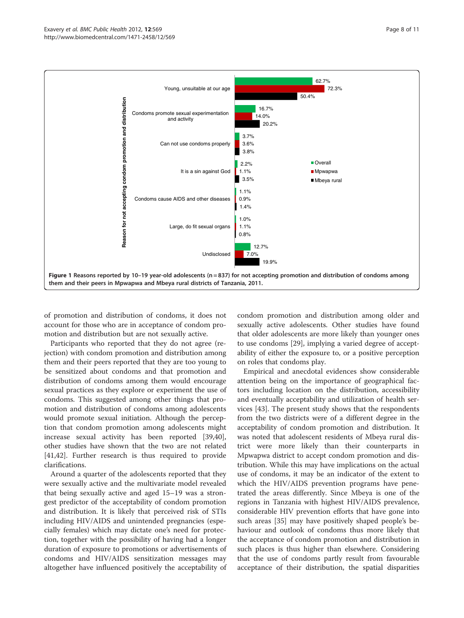<span id="page-7-0"></span>

of promotion and distribution of condoms, it does not account for those who are in acceptance of condom promotion and distribution but are not sexually active.

Participants who reported that they do not agree (rejection) with condom promotion and distribution among them and their peers reported that they are too young to be sensitized about condoms and that promotion and distribution of condoms among them would encourage sexual practices as they explore or experiment the use of condoms. This suggested among other things that promotion and distribution of condoms among adolescents would promote sexual initiation. Although the perception that condom promotion among adolescents might increase sexual activity has been reported [\[39,40](#page-9-0)], other studies have shown that the two are not related [[41,42\]](#page-9-0). Further research is thus required to provide clarifications.

Around a quarter of the adolescents reported that they were sexually active and the multivariate model revealed that being sexually active and aged 15–19 was a strongest predictor of the acceptability of condom promotion and distribution. It is likely that perceived risk of STIs including HIV/AIDS and unintended pregnancies (especially females) which may dictate one's need for protection, together with the possibility of having had a longer duration of exposure to promotions or advertisements of condoms and HIV/AIDS sensitization messages may altogether have influenced positively the acceptability of

condom promotion and distribution among older and sexually active adolescents. Other studies have found that older adolescents are more likely than younger ones to use condoms [\[29\]](#page-9-0), implying a varied degree of acceptability of either the exposure to, or a positive perception on roles that condoms play.

Empirical and anecdotal evidences show considerable attention being on the importance of geographical factors including location on the distribution, accessibility and eventually acceptability and utilization of health services [[43](#page-10-0)]. The present study shows that the respondents from the two districts were of a different degree in the acceptability of condom promotion and distribution. It was noted that adolescent residents of Mbeya rural district were more likely than their counterparts in Mpwapwa district to accept condom promotion and distribution. While this may have implications on the actual use of condoms, it may be an indicator of the extent to which the HIV/AIDS prevention programs have penetrated the areas differently. Since Mbeya is one of the regions in Tanzania with highest HIV/AIDS prevalence, considerable HIV prevention efforts that have gone into such areas [\[35](#page-9-0)] may have positively shaped people's behaviour and outlook of condoms thus more likely that the acceptance of condom promotion and distribution in such places is thus higher than elsewhere. Considering that the use of condoms partly result from favourable acceptance of their distribution, the spatial disparities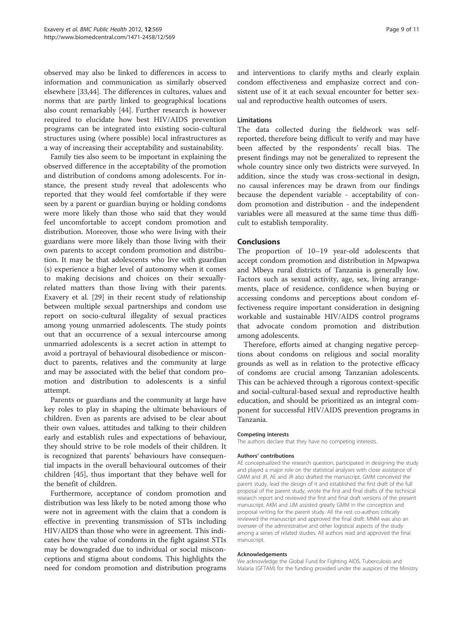observed may also be linked to differences in access to information and communication as similarly observed elsewhere [[33](#page-9-0),[44](#page-10-0)]. The differences in cultures, values and norms that are partly linked to geographical locations also count remarkably [[44](#page-10-0)]. Further research is however required to elucidate how best HIV/AIDS prevention programs can be integrated into existing socio-cultural structures using (where possible) local infrastructures as a way of increasing their acceptability and sustainability.

Family ties also seem to be important in explaining the observed difference in the acceptability of the promotion and distribution of condoms among adolescents. For instance, the present study reveal that adolescents who reported that they would feel comfortable if they were seen by a parent or guardian buying or holding condoms were more likely than those who said that they would feel uncomfortable to accept condom promotion and distribution. Moreover, those who were living with their guardians were more likely than those living with their own parents to accept condom promotion and distribution. It may be that adolescents who live with guardian (s) experience a higher level of autonomy when it comes to making decisions and choices on their sexuallyrelated matters than those living with their parents. Exavery et al. [\[29\]](#page-9-0) in their recent study of relationship between multiple sexual partnerships and condom use report on socio-cultural illegality of sexual practices among young unmarried adolescents. The study points out that an occurrence of a sexual intercourse among unmarried adolescents is a secret action in attempt to avoid a portrayal of behavioural disobedience or misconduct to parents, relatives and the community at large and may be associated with the belief that condom promotion and distribution to adolescents is a sinful attempt.

Parents or guardians and the community at large have key roles to play in shaping the ultimate behaviours of children. Even as parents are advised to be clear about their own values, attitudes and talking to their children early and establish rules and expectations of behaviour, they should strive to be role models of their children. It is recognized that parents' behaviours have consequential impacts in the overall behavioural outcomes of their children [[45](#page-10-0)], thus important that they behave well for the benefit of children.

Furthermore, acceptance of condom promotion and distribution was less likely to be noted among those who were not in agreement with the claim that a condom is effective in preventing transmission of STIs including HIV/AIDS than those who were in agreement. This indicates how the value of condoms in the fight against STIs may be downgraded due to individual or social misconceptions and stigma about condoms. This highlights the need for condom promotion and distribution programs and interventions to clarify myths and clearly explain condom effectiveness and emphasize correct and consistent use of it at each sexual encounter for better sexual and reproductive health outcomes of users.

#### Limitations

The data collected during the fieldwork was selfreported, therefore being difficult to verify and may have been affected by the respondents' recall bias. The present findings may not be generalized to represent the whole country since only two districts were surveyed. In addition, since the study was cross-sectional in design, no causal inferences may be drawn from our findings because the dependent variable - acceptability of condom promotion and distribution - and the independent variables were all measured at the same time thus difficult to establish temporality.

# Conclusions

The proportion of 10–19 year-old adolescents that accept condom promotion and distribution in Mpwapwa and Mbeya rural districts of Tanzania is generally low. Factors such as sexual activity, age, sex, living arrangements, place of residence, confidence when buying or accessing condoms and perceptions about condom effectiveness require important consideration in designing workable and sustainable HIV/AIDS control programs that advocate condom promotion and distribution among adolescents.

Therefore, efforts aimed at changing negative perceptions about condoms on religious and social morality grounds as well as in relation to the protective efficacy of condoms are crucial among Tanzanian adolescents. This can be achieved through a rigorous context-specific and social-cultural-based sexual and reproductive health education, and should be prioritized as an integral component for successful HIV/AIDS prevention programs in Tanzania.

#### Competing interests

The authors declare that they have no competing interests.

#### Authors' contributions

AE conceptualized the research question, participated in designing the study and played a major role on the statistical analyses with close assistance of GMM and JR. AE and JR also drafted the manuscript. GMM conceived the parent study, lead the design of it and established the first draft of the full proposal of the parent study, wrote the first and final drafts of the technical research report and reviewed the first and final draft versions of the present manuscript. AKM and JJM assisted greatly GMM in the conception and proposal writing for the parent study. All the rest co-authors critically reviewed the manuscript and approved the final draft. MNM was also an overseer of the administrative and other logistical aspects of the study among a series of related studies. All authors read and approved the final manuscript.

#### Acknowledgements

We acknowledge the Global Fund for Fighting AIDS, Tuberculosis and Malaria (GFTAM) for the funding provided under the auspices of the Ministry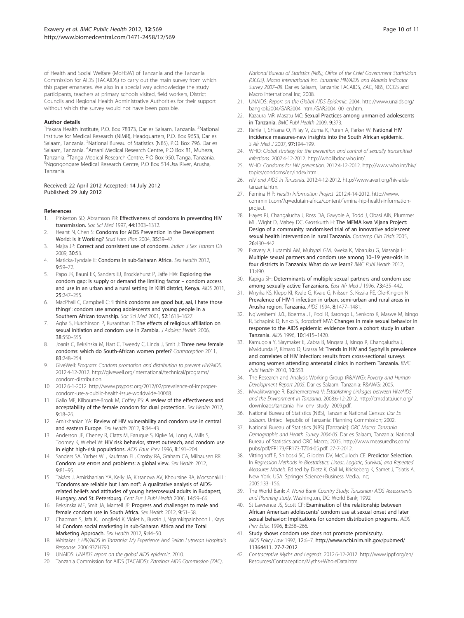<span id="page-9-0"></span>of Health and Social Welfare (MoHSW) of Tanzania and the Tanzania Commission for AIDS (TACAIDS) to carry out the main survey from which this paper emanates. We also in a special way acknowledge the study participants, teachers at primary schools visited, field workers, District Councils and Regional Health Administrative Authorities for their support without which the survey would not have been possible.

#### Author details

<sup>1</sup> Ifakara Health Institute, P.O. Box 78373, Dar es Salaam, Tanzania. <sup>2</sup>National Institute for Medical Research (NIMR), Headquarters, P.O. Box 9653, Dar es Salaam, Tanzania. <sup>3</sup>National Bureau of Statistics (NBS), P.O. Box 796, Dar es Salaam, Tanzania. <sup>4</sup>Amani Medical Research Centre, P.O Box 81, Muheza, Tanzania. <sup>5</sup>Tanga Medical Research Centre, P.O Box 950, Tanga, Tanzania.<br><sup>6</sup>Ngongongare Medical Research Centre, P.O.Box 514Llsa River, Arusha. Ngongongare Medical Research Centre, P.O Box 514Usa River, Arusha, Tanzania.

#### Received: 22 April 2012 Accepted: 14 July 2012 Published: 29 July 2012

#### References

- Pinkerton SD, Abramson PR: Effectiveness of condoms in preventing HIV transmission. Soc Sci Med 1997, 44:1303–1312.
- 2. Hearst N, Chen S: Condoms for AIDS Prevention in the Development World: Is it Working? Stud Fam Plan 2004, 35:39–47.
- 3. Majra JP: Correct and consistent use of condoms. Indian J Sex Transm Dis 2009, 30:53.
- 4. Maticka-Tyndale E: Condoms in sub-Saharan Africa. Sex Health 2012, 9:59–72.
- 5. Papo JK, Bauni EK, Sanders EJ, Brocklehurst P, Jaffe HW: Exploring the condom gap: is supply or demand the limiting factor – condom access and use in an urban and a rural setting in Kilifi district, Kenya. AIDS 2011, 25:247–255.
- MacPhail C, Campbell C: 'I think condoms are good but, aai, I hate those things': condom use among adolescents and young people in a Southern African township. Soc Sci Med 2001, 52:1613–1627.
- 7. Agha S, Hutchinson P, Kusanthan T: The effects of religious affiliation on sexual initiation and condom use in Zambia. J Adolesc Health 2006, 38:550–555.
- Joanis C, Beksinska M, Hart C, Tweedy C, Linda J, Smit J: Three new female condoms: which do South-African women prefer? Contraception 2011, 83:248–254.
- 9. GiveWell: Program: Condom promotion and distribution to prevent HIV/AIDS. 2012:4-12-2012. [http://givewell.org/international/technical/programs/](http://givewell.org/international/technical/programs/condom-distribution) [condom-distribution](http://givewell.org/international/technical/programs/condom-distribution).
- 10. 2012:6-1-2012. [http://www.psypost.org/2012/02/prevalence-of-improper](http://www.psypost.org/2012/02/prevalence-of-improper-condom-use-a-public-health-issue-worldwide-10068)[condom-use-a-public-health-issue-worldwide-10068.](http://www.psypost.org/2012/02/prevalence-of-improper-condom-use-a-public-health-issue-worldwide-10068)
- 11. Gallo MF, Kilbourne-Brook M, Coffey PS: A review of the effectiveness and acceptability of the female condom for dual protection. Sex Health 2012, 9:18–26.
- 12. Amirkhanian YA: Review of HIV vulnerability and condom use in central and eastern Europe. Sex Health 2012, 9:34–43.
- 13. Anderson JE, Cheney R, Clatts M, Faruque S, Kipke M, Long A, Mills S, Toomey K, Wiebel W: HIV risk behavior, street outreach, and condom use in eight high-risk populations. AIDS Educ Prev 1996, 8:191–204.
- 14. Sanders SA, Yarber WL, Kaufman EL, Crosby RA, Graham CA, Milhausen RR: Condom use errors and problems: a global view. Sex Health 2012, 9:81–95.
- 15. Takács J, Amirkhanian YA, Kelly JA, Kirsanova AV, Khoursine RA, Mocsonaki L: "Condoms are reliable but I am not": A qualitative analysis of AIDSrelated beliefs and attitudes of young heterosexual adults in Budapest, Hungary, and St. Petersburg. Cent Eur J Publ Health 2006, 14:59-66.
- 16. Beksinska ME, Smit JA, Mantell JE: Progress and challenges to male and female condom use in South Africa. Sex Health 2012, 9:51–58.
- 17. Chapman S, Jafa K, Longfield K, Violet N, Buszin J, Ngamkitpainboon L, Kays M: Condom social marketing in sub-Saharan Africa and the Total Marketing Approach. Sex Health 2012, 9:44–50.
- 18. Whitaker J: HIV/AIDS in Tanzania: My Experience And Selian Lutheran Hospital's Response. 2006:93ZH790.
- 19. UNAIDS: UNAIDS report on the global AIDS epidemic. 2010.
- 20. Tanzania Commission for AIDS (TACAIDS): Zanzibar AIDS Commission (ZAC),

National Bureau of Statistics (NBS), Office of the Chief Government Statistician (OCGS), Macro International Inc. Tanzania HIV/AIDS and Malaria Indicator Survey 2007–08. Dar es Salaam, Tanzania: TACAIDS, ZAC, NBS, OCGS and Macro International Inc; 2008.

- 21. UNAIDS: Report on the Global AIDS Epidemic. 2004. [http://www.unaids.org/](http://www.unaids.org/bangkok2004/GAR2004_html/GAR2004_00_en.htm) [bangkok2004/GAR2004\\_html/GAR2004\\_00\\_en.htm.](http://www.unaids.org/bangkok2004/GAR2004_html/GAR2004_00_en.htm)
- 22. Kazaura MR, Masatu MC: Sexual Practices among unmarried adolescents in Tanzania. BMC Publ Health 2009, 9:373.
- 23. Rehle T, Shisana O, Pillay V, Zuma K, Puren A, Parker W: National HIV incidence measures-new insights into the South African epidemic. S Afr Med J 2007, 97:194-199.
- 24. WHO: Global strategy for the prevention and control of sexually transmitted infections. 2007:4-12-2012.<http://whqlibdoc.who.int/>.
- 25. WHO: Condoms for HIV prevention. 2012:4-12-2012. [http://www.who.int/hiv/](http://www.who.int/hiv/topics/condoms/en/index.html) [topics/condoms/en/index.html.](http://www.who.int/hiv/topics/condoms/en/index.html)
- 26. HIV and AIDS in Tanzania. 2012:4-12-2012. [http://www.avert.org/hiv-aids](http://www.avert.org/hiv-aids-tanzania.htm)[tanzania.htm](http://www.avert.org/hiv-aids-tanzania.htm).
- 27. Femina HIP: Health Information Project. 2012:4-14-2012. [http://www.](http://www.comminit.com/?q=edutain-africa/content/femina-hip-health-information-project) [comminit.com/?q=edutain-africa/content/femina-hip-health-information](http://www.comminit.com/?q=edutain-africa/content/femina-hip-health-information-project)[project.](http://www.comminit.com/?q=edutain-africa/content/femina-hip-health-information-project)
- 28. Hayes RJ, Changalucha J, Ross DA, Gavyole A, Todd J, Obasi AIN, Plummer ML, Wight D, Mabey DC, Grosskurth H: The MEMA kwa Vijana Project: Design of a community randomised trial of an innovative adolescent sexual health intervention in rural Tanzania. Contemp Clin Trials 2005, 26:430–442.
- 29. Exavery A, Lutambi AM, Mubyazi GM, Kweka K, Mbaruku G, Masanja H: Multiple sexual partners and condom use among 10–19 year-olds in four districts in Tanzania: What do we learn? BMC Publ Health 2012, 11:490.
- 30. Kapiga SH: Determinants of multiple sexual partners and condom use among sexually active Tanzanians. East Afr Med J 1996, 73:435-442.
- 31. Mnyika KS, Klepp KI, Kvale G, Kvale G, Nilssen S, Kissila PE, Ole-King'ori N: Prevalence of HIV-1 infection in urban, semi-urban and rural areas in Arusha region, Tanzania. AIDS 1994, 8:1477–1481.
- 32. Ng'weshemi JZL, Boerma JT, Pool R, Barongo L, Senkoro K, Maswe M, Isingo R, Schapink D, Nnko S, Borgdorff MW: Changes in male sexual behavior in response to the AIDS epidemic: evidence from a cohort study in urban Tanzania. AIDS 1996, 10:1415–1420.
- 33. Kamugola Y, Slaymaker E, Zabra B, Mngara J, Isingo R, Changalucha J, Mwidunda P, Kimaro D, Urassa M: Trends in HIV and Syphyllis prevalence and correlates of HIV infection: results from cross-sectional surveys among women attending antenatal clinics in northern Tanzania. BMC Publ Health 2010, 10:553.
- 34. The Research and Analysis Working Group (R&AWG): Poverty and Human Development Report 2005. Dar es Salaam, Tanzania: R&AWG; 2005.
- 35. Mwakitwange R, Bashemererwa V: Establishing Linkages between HIV/AIDS and the Environment in Tanzania. 2008:6-12-2012. [http://cmsdata.iucn.org/](http://cmsdata.iucn.org/downloads/tanzania_hiv_env_study_2009.pdf) [downloads/tanzania\\_hiv\\_env\\_study\\_2009.pdf](http://cmsdata.iucn.org/downloads/tanzania_hiv_env_study_2009.pdf).
- 36. National Bureau of Statistics (NBS), Tanzania: National Census: Dar Es Salaam. United Republic of Tanzania: Planning Commission; 2002.
- 37. National Bureau of Statistics (NBS) [Tanzania]: ORC Macro: Tanzania Demographic and Health Survey 2004-05. Dar es Salaam, Tanzania: National Bureau of Statistics and ORC Macro; 2005. [http://www.measuredhs.com/](http://www.measuredhs.com/pubs/pdf/FR173/FR173-TZ04-05.pdf) [pubs/pdf/FR173/FR173-TZ04-05.pdf](http://www.measuredhs.com/pubs/pdf/FR173/FR173-TZ04-05.pdf). 27-7-2012.
- Vittinghoff E, Shiboski SC, Glidden DV, McCulloch CE: Predictor Selection. In Regression Methods in Biostatistics: Linear, Logistic, Survival, and Repeated Measures Models. Edited by Dietz K, Gail M, Krickeberg K, Samet J, Tsiatis A. New York, USA: Springer Science+Business Media, Inc; 2005:133–156.
- 39. The World Bank: A World Bank Country Study: Tanzanian AIDS Assessments and Planning study. Washington, DC: World Bank; 1992.
- 40. St Lawrence JS, Scott CP: Examination of the relationship between African American adolescents' condom use at sexual onset and later sexual behavior: Implications for condom distribution programs. AIDS Prev Educ 1996, 8:258-266.
- 41. Study shows condom use does not promote promiscuity. AIDS Policy Law 1997, 12:6–7. [http://www.ncbi.nlm.nih.gov/pubmed/](http://www.ncbi.nlm.nih.gov/pubmed/11364411) [11364411.](http://www.ncbi.nlm.nih.gov/pubmed/11364411) 27-7-2012.
- 42. Contraceptive Myths and Legends. 2012:6-12-2012. [http://www.ippf.org/en/](http://www.ippf.org/en/Resources/Contraception/Myths+WholeData.htm) [Resources/Contraception/Myths+WholeData.htm](http://www.ippf.org/en/Resources/Contraception/Myths+WholeData.htm).